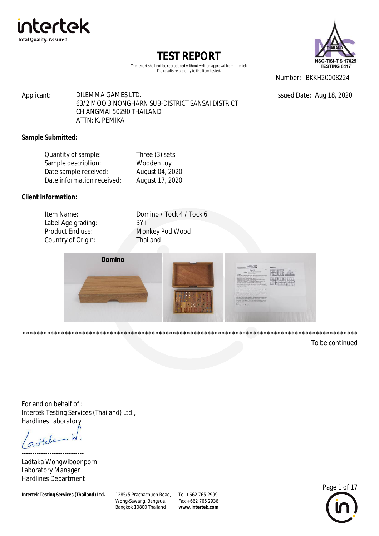

The report shall not be reproduced without written approval from Intertek The results relate only to the item tested.



Number: BKKH20008224

Issued Date: Aug 18, 2020

Applicant: DILEMMA GAMES LTD. 63/2 MOO 3 NONGHARN SUB-DISTRICT SANSAI DISTRICT CHIANGMAI 50290 THAILAND ATTN: K. PEMIKA

### **Sample Submitted:**

| Three (3) sets  |
|-----------------|
| Wooden toy      |
| August 04, 2020 |
| August 17, 2020 |
|                 |

### **Client Information:**

| Item Name:         | Domino / Tock 4 / Tock 6 |
|--------------------|--------------------------|
| Label Age grading: | $3Y+$                    |
| Product End use:   | Monkey Pod Wood          |
| Country of Origin: | Thailand                 |
|                    |                          |



\*\*\*\*\*\*\*\*\*\*\*\*\*\*\*\*\*\*\*\*\*\*\*\*\*\*\*\*\*\*\*\*\*\*\*\*\*\*\*\*\*\*\*\*\*\*\*\*\*\*\*\*\*\*\*\*\*\*\*\*\*\*\*\*\*\*\*\*\*\*\*\*\*\*\*\*\*\*\*\*\*\*\*\*\*\*\*\*\*\*\*\*\*\*\*\*

To be continued

For and on behalf of : Intertek Testing Services (Thailand) Ltd., Hardlines Laboratory

dtale

----------------------------- Ladtaka Wongwiboonporn Laboratory Manager Hardlines Department

**Intertek Testing Services (Thailand) Ltd.** 

Wong-Sawang, Bangsue, Bangkok 10800 Thailand 1285/5 Prachachuen Road, Tel + 662 765 2999

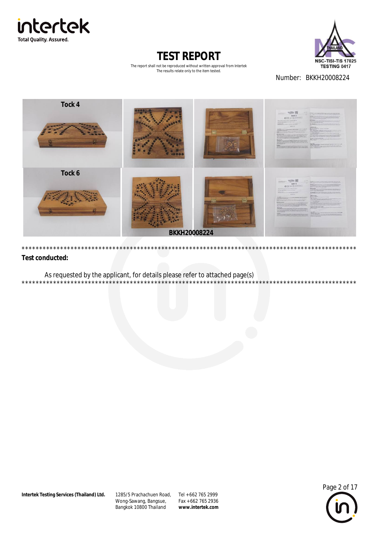



The report shall not be reproduced without written approval from Intertek The results relate only to the item tested.

Number: BKKH20008224



#### **Test conducted:**

As requested by the applicant, for details please refer to attached page(s)

1285/5 Prachachuen Road, Tel + 662 765 2999 Wong-Sawang, Bangsue, Bangkok 10800 Thailand

Fax + 662 765 2936 www.intertek.com



 $***$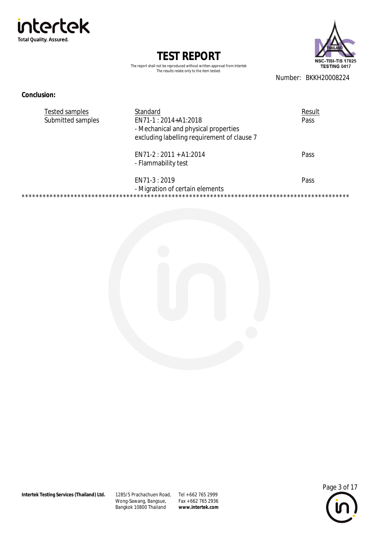intertek **Total Quality. Assured.** 

> **TEST REPORT** The report shall not be reproduced without written approval from Intertek

The results relate only to the item tested.



Number: BKKH20008224

#### **Conclusion:**

| <b>Tested samples</b> | Standard                                                                                                     | Result |
|-----------------------|--------------------------------------------------------------------------------------------------------------|--------|
| Submitted samples     | EN71-1 : 2014+A1:2018<br>- Mechanical and physical properties<br>excluding labelling requirement of clause 7 | Pass   |
|                       | $EN71-2: 2011 + A1:2014$<br>- Flammability test                                                              | Pass   |
|                       | EN71-3 : 2019<br>- Migration of certain elements                                                             | Pass   |
|                       |                                                                                                              |        |



1285/5 Prachachuen Road, Tel + 662 765 2999 Wong-Sawang, Bangsue,<br>Bangkok 10800 Thailand

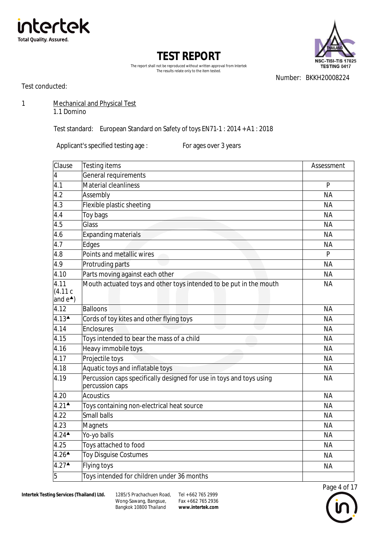





Number: BKKH20008224

Test conducted:

1 Mechanical and Physical Test

1.1 Domino

Test standard: European Standard on Safety of toys EN71-1 : 2014 + A1 : 2018

Applicant's specified testing age : For ages over 3 years

| Clause                                   | <b>Testing items</b>                                                                    | Assessment |
|------------------------------------------|-----------------------------------------------------------------------------------------|------------|
| $\overline{\mathbf{4}}$                  | General requirements                                                                    |            |
| 4.1                                      | <b>Material cleanliness</b>                                                             | P          |
| 4.2                                      | Assembly                                                                                | <b>NA</b>  |
| 4.3                                      | Flexible plastic sheeting                                                               | <b>NA</b>  |
| 4.4                                      | Toy bags                                                                                | <b>NA</b>  |
| 4.5                                      | Glass                                                                                   | <b>NA</b>  |
| 4.6                                      | <b>Expanding materials</b>                                                              | <b>NA</b>  |
| 4.7                                      | Edges                                                                                   | <b>NA</b>  |
| 4.8                                      | Points and metallic wires                                                               | P          |
| 4.9                                      | Protruding parts                                                                        | <b>NA</b>  |
| 4.10                                     | Parts moving against each other                                                         | <b>NA</b>  |
| 4.11<br>(4.11c)<br>and $e^{\triangle}$ ) | Mouth actuated toys and other toys intended to be put in the mouth                      | <b>NA</b>  |
| 4.12                                     | <b>Balloons</b>                                                                         | <b>NA</b>  |
| $4.13$ <sup><math>\triangle</math></sup> | Cords of toy kites and other flying toys                                                | <b>NA</b>  |
| 4.14                                     | Enclosures                                                                              | <b>NA</b>  |
| 4.15                                     | Toys intended to bear the mass of a child                                               | <b>NA</b>  |
| 4.16                                     | Heavy immobile toys                                                                     | <b>NA</b>  |
| 4.17                                     | Projectile toys                                                                         | <b>NA</b>  |
| 4.18                                     | Aquatic toys and inflatable toys                                                        | <b>NA</b>  |
| 4.19                                     | Percussion caps specifically designed for use in toys and toys using<br>percussion caps | <b>NA</b>  |
| 4.20                                     | <b>Acoustics</b>                                                                        | <b>NA</b>  |
| $4.21$ <sup><math>\triangle</math></sup> | Toys containing non-electrical heat source                                              | <b>NA</b>  |
| 4.22                                     | <b>Small balls</b>                                                                      | <b>NA</b>  |
| 4.23                                     | <b>Magnets</b>                                                                          | <b>NA</b>  |
| $4.24$ <sup><math>\triangle</math></sup> | Yo-yo balls                                                                             | <b>NA</b>  |
| 4.25                                     | Toys attached to food                                                                   | <b>NA</b>  |
| $4.26$ <sup><math>\triangle</math></sup> | <b>Toy Disguise Costumes</b>                                                            | <b>NA</b>  |
| 4.27                                     | <b>Flying toys</b>                                                                      | <b>NA</b>  |
| 5                                        | Toys intended for children under 36 months                                              |            |



Wong-Sawang, Bangsue, Bangkok 10800 Thailand 1285/5 Prachachuen Road, Tel + 662 765 2999

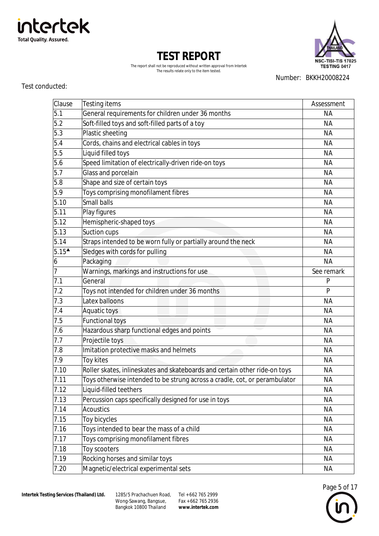

Test conducted:

**Total Quality. Assured.** 

intertek

| Clause                             | Testing items                                                              | Assessment |
|------------------------------------|----------------------------------------------------------------------------|------------|
| 5.1                                | General requirements for children under 36 months                          | <b>NA</b>  |
| 5.2                                | Soft-filled toys and soft-filled parts of a toy                            | <b>NA</b>  |
| 5.3                                | Plastic sheeting                                                           | <b>NA</b>  |
| 5.4                                | Cords, chains and electrical cables in toys                                | NА         |
| 5.5                                | Liquid filled toys                                                         | <b>NA</b>  |
| 5.6                                | Speed limitation of electrically-driven ride-on toys                       | <b>NA</b>  |
| 5.7                                | Glass and porcelain                                                        | <b>NA</b>  |
| 5.8                                | Shape and size of certain toys                                             | <b>NA</b>  |
| 5.9                                | Toys comprising monofilament fibres                                        | NА         |
| 5.10                               | Small balls                                                                | <b>NA</b>  |
| 5.11                               | Play figures                                                               | <b>NA</b>  |
| 5.12                               | Hemispheric-shaped toys                                                    | <b>NA</b>  |
| 5.13                               | Suction cups                                                               | <b>NA</b>  |
| 5.14                               | Straps intended to be worn fully or partially around the neck              | <b>NA</b>  |
| $5.15^{\textstyle \blacktriangle}$ | Sledges with cords for pulling                                             | <b>NA</b>  |
| 6                                  | Packaging                                                                  | NA         |
| 7                                  | Warnings, markings and instructions for use                                | See remark |
| 7.1                                | General                                                                    | P          |
| 7.2                                | Toys not intended for children under 36 months                             | P          |
| 7.3                                | Latex balloons                                                             | <b>NA</b>  |
| 7.4                                | Aquatic toys                                                               | ΝA         |
| 7.5                                | <b>Functional toys</b>                                                     | NA         |
| 7.6                                | Hazardous sharp functional edges and points                                | <b>NA</b>  |
| 7.7                                | Projectile toys                                                            | <b>NA</b>  |
| 7.8                                | Imitation protective masks and helmets                                     | NA         |
| 7.9                                | Toy kites                                                                  | <b>NA</b>  |
| 7.10                               | Roller skates, inlineskates and skateboards and certain other ride-on toys | <b>NA</b>  |
| 7.11                               | Toys otherwise intended to be strung across a cradle, cot, or perambulator | <b>NA</b>  |
| 7.12                               | Liquid-filled teethers                                                     | <b>NA</b>  |
| 7.13                               | Percussion caps specifically designed for use in toys                      | <b>NA</b>  |
| 7.14                               | <b>Acoustics</b>                                                           | <b>NA</b>  |
| 7.15                               | Toy bicycles                                                               | <b>NA</b>  |
| 7.16                               | Toys intended to bear the mass of a child                                  | <b>NA</b>  |
| 7.17                               | Toys comprising monofilament fibres                                        | <b>NA</b>  |
| 7.18                               | Toy scooters                                                               | <b>NA</b>  |
| 7.19                               | Rocking horses and similar toys                                            | <b>NA</b>  |
| 7.20                               | Magnetic/electrical experimental sets                                      | <b>NA</b>  |





The report shall not be reproduced without written approval from Intertek The results relate only to the item tested.

Number: BKKH20008224

**Intertek Testing Services (Thailand) Ltd.** 

Wong-Sawang, Bangsue, Bangkok 10800 Thailand 1285/5 Prachachuen Road, Tel + 662 765 2999

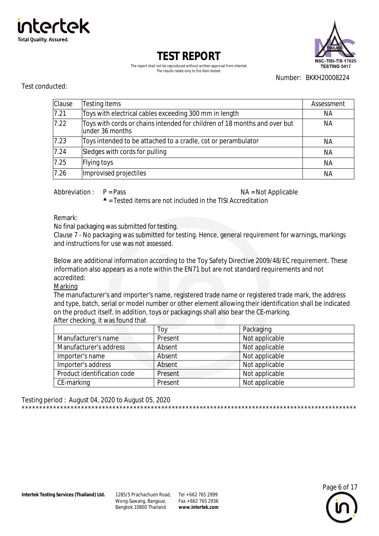



The report shall not be reproduced without written approval from Intertek The results relate only to the item tested.

Number: BKKH20008224

#### Test conducted:

| Clause | Testing items                                                                                | Assessment |
|--------|----------------------------------------------------------------------------------------------|------------|
| 7.21   | Toys with electrical cables exceeding 300 mm in length                                       | NА         |
| 7.22   | Toys with cords or chains intended for children of 18 months and over but<br>under 36 months | NА         |
| 7.23   | Toys intended to be attached to a cradle, cot or perambulator                                | ΝA         |
| 7.24   | Sledges with cords for pulling                                                               | <b>NA</b>  |
| 7.25   | Flying toys                                                                                  | <b>NA</b>  |
| 7.26   | Improvised projectiles                                                                       | ΝA         |

Abbreviation:  $P = Pass$ 

NA = Not Applicable

 $\triangle$  = Tested items are not included in the TISI Accreditation

Remark:

No final packaging was submitted for testing.

Clause 7 - No packaging was submitted for testing. Hence, general requirement for warnings, markings and instructions for use was not assessed

Below are additional information according to the Toy Safety Directive 2009/48/EC requirement. These information also appears as a note within the EN71 but are not standard requirements and not accredited:

Marking

The manufacturer's and importer's name, registered trade name or registered trade mark, the address and type, batch, serial or model number or other element allowing their identification shall be indicated on the product itself. In addition, toys or packagings shall also bear the CE-marking. After checking, it was found that

|                             | Toy     | Packaging      |
|-----------------------------|---------|----------------|
| Manufacturer's name         | Present | Not applicable |
| Manufacturer's address      | Absent  | Not applicable |
| Importer's name             | Absent  | Not applicable |
| Importer's address          | Absent  | Not applicable |
| Product identification code | Present | Not applicable |
| CE-marking                  | Present | Not applicable |

Testing period: August 04, 2020 to August 05, 2020 

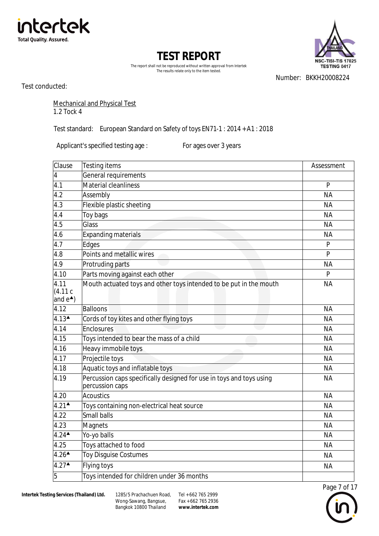





Number: BKKH20008224

Test conducted:

### Mechanical and Physical Test 1.2 Tock 4

Test standard: European Standard on Safety of toys EN71-1 : 2014 + A1 : 2018

Applicant's specified testing age : For ages over 3 years

| Clause                                   | <b>Testing items</b>                                                                    | Assessment   |
|------------------------------------------|-----------------------------------------------------------------------------------------|--------------|
| 4                                        | General requirements                                                                    |              |
| 4.1                                      | Material cleanliness                                                                    | $\mathsf{P}$ |
| 4.2                                      | Assembly                                                                                | <b>NA</b>    |
| 4.3                                      | Flexible plastic sheeting                                                               | <b>NA</b>    |
| 4.4                                      | Toy bags                                                                                | <b>NA</b>    |
| 4.5                                      | Glass                                                                                   | <b>NA</b>    |
| 4.6                                      | <b>Expanding materials</b>                                                              | <b>NA</b>    |
| 4.7                                      | Edges                                                                                   | P            |
| 4.8                                      | Points and metallic wires                                                               | $\mathsf{P}$ |
| 4.9                                      | Protruding parts                                                                        | <b>NA</b>    |
| 4.10                                     | Parts moving against each other                                                         | P            |
| 4.11<br>(4.11c)<br>and $e^*$ )           | Mouth actuated toys and other toys intended to be put in the mouth                      | <b>NA</b>    |
| 4.12                                     | <b>Balloons</b>                                                                         | <b>NA</b>    |
| $4.13^{\triangle}$                       | Cords of toy kites and other flying toys                                                | <b>NA</b>    |
| 4.14                                     | Enclosures                                                                              | <b>NA</b>    |
| 4.15                                     | Toys intended to bear the mass of a child                                               | <b>NA</b>    |
| 4.16                                     | Heavy immobile toys                                                                     | <b>NA</b>    |
| 4.17                                     | Projectile toys                                                                         | <b>NA</b>    |
| 4.18                                     | Aquatic toys and inflatable toys                                                        | <b>NA</b>    |
| 4.19                                     | Percussion caps specifically designed for use in toys and toys using<br>percussion caps | <b>NA</b>    |
| 4.20                                     | <b>Acoustics</b>                                                                        | <b>NA</b>    |
| $4.21$ <sup><math>\triangle</math></sup> | Toys containing non-electrical heat source                                              | <b>NA</b>    |
| 4.22                                     | <b>Small balls</b>                                                                      | <b>NA</b>    |
| 4.23                                     | Magnets                                                                                 | <b>NA</b>    |
| $4.24$ <sup><math>\triangle</math></sup> | Yo-yo balls                                                                             | <b>NA</b>    |
| 4.25                                     | Toys attached to food                                                                   | <b>NA</b>    |
| $4.26$ <sup><math>\triangle</math></sup> | <b>Toy Disguise Costumes</b>                                                            | <b>NA</b>    |
| $4.27$ <sup><math>\triangle</math></sup> | Flying toys                                                                             | <b>NA</b>    |
| 5                                        | Toys intended for children under 36 months                                              |              |

Wong-Sawang, Bangsue, Bangkok 10800 Thailand 1285/5 Prachachuen Road, Tel + 662 765 2999

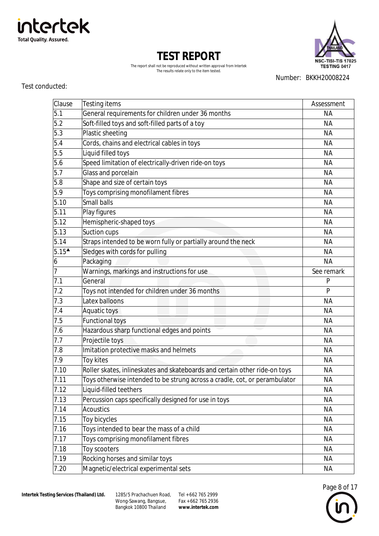

Wong-Sawang, Bangsue, Bangkok 10800 Thailand 1285/5 Prachachuen Road, Tel + 662 765 2999

Fax + 662 765 2936 **[www.intertek.com](http://www.intertek.com)**

| Page 8 of 17 |  |
|--------------|--|
|              |  |
|              |  |
|              |  |

| 5.10                               | Small balls                                                                | <b>NA</b>  |
|------------------------------------|----------------------------------------------------------------------------|------------|
| $\overline{5.11}$                  | Play figures                                                               | <b>NA</b>  |
| $\overline{5}.12$                  | Hemispheric-shaped toys                                                    | <b>NA</b>  |
| 5.13                               | Suction cups                                                               | <b>NA</b>  |
| 5.14                               | Straps intended to be worn fully or partially around the neck              | <b>NA</b>  |
| $5.15^{\textstyle \blacktriangle}$ | Sledges with cords for pulling                                             | <b>NA</b>  |
| $\boldsymbol{6}$                   | Packaging                                                                  | <b>NA</b>  |
| $\overline{7}$                     | Warnings, markings and instructions for use                                | See remark |
| 7.1                                | General                                                                    | P          |
| 7.2                                | Toys not intended for children under 36 months                             | P          |
| 7.3                                | Latex balloons                                                             | <b>NA</b>  |
| 7.4                                | Aquatic toys                                                               | <b>NA</b>  |
| 7.5                                | <b>Functional toys</b>                                                     | <b>NA</b>  |
| 7.6                                | Hazardous sharp functional edges and points                                | <b>NA</b>  |
| 7.7                                | Projectile toys                                                            | <b>NA</b>  |
| 7.8                                | Imitation protective masks and helmets                                     | <b>NA</b>  |
| 7.9                                | Toy kites                                                                  | <b>NA</b>  |
| 7.10                               | Roller skates, inlineskates and skateboards and certain other ride-on toys | <b>NA</b>  |
| 7.11                               | Toys otherwise intended to be strung across a cradle, cot, or perambulator | <b>NA</b>  |
| 7.12                               | Liquid-filled teethers                                                     | <b>NA</b>  |
| 7.13                               | Percussion caps specifically designed for use in toys                      | <b>NA</b>  |
| 7.14                               | <b>Acoustics</b>                                                           | <b>NA</b>  |
| 7.15                               | Toy bicycles                                                               | <b>NA</b>  |
| 7.16                               | Toys intended to bear the mass of a child                                  | <b>NA</b>  |
| 7.17                               | Toys comprising monofilament fibres                                        | <b>NA</b>  |
| 7.18                               | Toy scooters                                                               | <b>NA</b>  |
| 7.19                               | Rocking horses and similar toys                                            | <b>NA</b>  |
| 7.20                               | Magnetic/electrical experimental sets                                      | <b>NA</b>  |

Test conducted:





**TEST REPORT** The report shall not be reproduced without written approval from Intertek

Clause Testing items **Assessment** Assessment 5.1 General requirements for children under 36 months and a series of the NA 5.2 Soft-filled toys and soft-filled parts of a toy Soft-filled parts of a toy 5.3 Plastic sheeting NA 5.4 Cords, chains and electrical cables in toys NA 5.5 Liquid filled toys NA 5.6 Speed limitation of electrically-driven ride-on toys Speed Limitation of electrically-driven ride-on toys 5.7 Glass and porcelain NA 5.8 Shape and size of certain toys NA 5.9 Toys comprising monofilament fibres NA

The results relate only to the item tested.

Number: BKKH20008224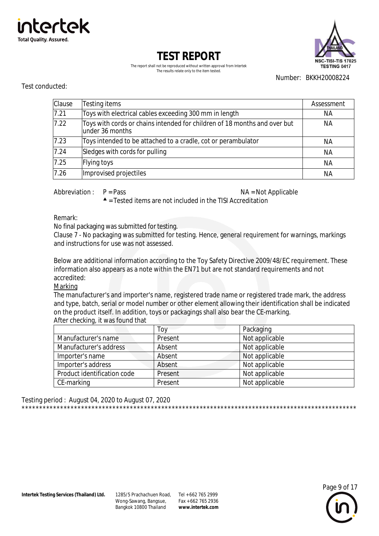



The report shall not be reproduced without written approval from Intertek The results relate only to the item tested.

Number: BKKH20008224

#### Test conducted:

| Clause | Testing items                                                                                | Assessment |
|--------|----------------------------------------------------------------------------------------------|------------|
| 7.21   | Toys with electrical cables exceeding 300 mm in length                                       | NА         |
| 7.22   | Toys with cords or chains intended for children of 18 months and over but<br>under 36 months | NА         |
| 7.23   | Toys intended to be attached to a cradle, cot or perambulator                                | ΝA         |
| 7.24   | Sledges with cords for pulling                                                               | NА         |
| 7.25   | Flying toys                                                                                  | NА         |
| 7.26   | Improvised projectiles                                                                       | ΝA         |

Abbreviation:  $P = Pass$ 

NA = Not Applicable

 $\triangle$  = Tested items are not included in the TISI Accreditation

Remark:

No final packaging was submitted for testing.

Clause 7 - No packaging was submitted for testing. Hence, general requirement for warnings, markings and instructions for use was not assessed

Below are additional information according to the Toy Safety Directive 2009/48/EC requirement. These information also appears as a note within the EN71 but are not standard requirements and not accredited:

Marking

The manufacturer's and importer's name, registered trade name or registered trade mark, the address and type, batch, serial or model number or other element allowing their identification shall be indicated on the product itself. In addition, toys or packagings shall also bear the CE-marking. After checking, it was found that

|                             | Toy     | Packaging      |
|-----------------------------|---------|----------------|
| Manufacturer's name         | Present | Not applicable |
| Manufacturer's address      | Absent  | Not applicable |
| Importer's name             | Absent  | Not applicable |
| Importer's address          | Absent  | Not applicable |
| Product identification code | Present | Not applicable |
| CE-marking                  | Present | Not applicable |

Testing period: August 04, 2020 to August 07, 2020 

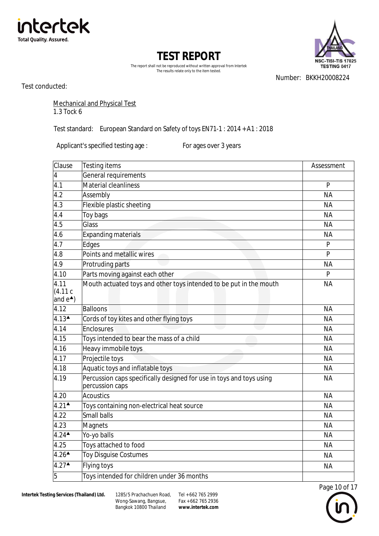





Number: BKKH20008224

Test conducted:

#### Mechanical and Physical Test 1.3 Tock 6

Test standard: European Standard on Safety of toys EN71-1 : 2014 + A1 : 2018

Applicant's specified testing age : For ages over 3 years

| Clause                                   | <b>Testing items</b>                                                                    | Assessment     |
|------------------------------------------|-----------------------------------------------------------------------------------------|----------------|
| $\overline{4}$                           | General requirements                                                                    |                |
| 4.1                                      | <b>Material cleanliness</b>                                                             | P              |
| 4.2                                      | Assembly                                                                                | <b>NA</b>      |
| $4.\overline{3}$                         | Flexible plastic sheeting                                                               | <b>NA</b>      |
| 4.4                                      | Toy bags                                                                                | <b>NA</b>      |
| 4.5                                      | Glass                                                                                   | <b>NA</b>      |
| 4.6                                      | <b>Expanding materials</b>                                                              | <b>NA</b>      |
| 4.7                                      | Edges                                                                                   | P              |
| 4.8                                      | Points and metallic wires                                                               | $\overline{P}$ |
| 4.9                                      | Protruding parts                                                                        | <b>NA</b>      |
| 4.10                                     | Parts moving against each other                                                         | P              |
| 4.11<br>(4.11c)                          | Mouth actuated toys and other toys intended to be put in the mouth                      | <b>NA</b>      |
| and $e^*$ )                              |                                                                                         |                |
| 4.12                                     | <b>Balloons</b>                                                                         | <b>NA</b>      |
| $4.13$ <sup><math>\triangle</math></sup> | Cords of toy kites and other flying toys                                                | <b>NA</b>      |
| 4.14                                     | Enclosures                                                                              | <b>NA</b>      |
| 4.15                                     | Toys intended to bear the mass of a child                                               | <b>NA</b>      |
| 4.16                                     | Heavy immobile toys                                                                     | <b>NA</b>      |
| 4.17                                     | Projectile toys                                                                         | <b>NA</b>      |
| 4.18                                     | Aquatic toys and inflatable toys                                                        | <b>NA</b>      |
| 4.19                                     | Percussion caps specifically designed for use in toys and toys using<br>percussion caps | <b>NA</b>      |
| 4.20                                     | <b>Acoustics</b>                                                                        | <b>NA</b>      |
| $4.21$ <sup><math>\triangle</math></sup> | Toys containing non-electrical heat source                                              | <b>NA</b>      |
| 4.22                                     | Small balls                                                                             | <b>NA</b>      |
| 4.23                                     | Magnets                                                                                 | <b>NA</b>      |
| $4.24$ <sup><math>\triangle</math></sup> | Yo-yo balls                                                                             | <b>NA</b>      |
| 4.25                                     | Toys attached to food                                                                   | <b>NA</b>      |
| $4.26^{\triangle}$                       | <b>Toy Disguise Costumes</b>                                                            | <b>NA</b>      |
| 4.27                                     | Flying toys                                                                             | <b>NA</b>      |
| 5                                        | Toys intended for children under 36 months                                              |                |



Wong-Sawang, Bangsue, Bangkok 10800 Thailand 1285/5 Prachachuen Road, Tel + 662 765 2999

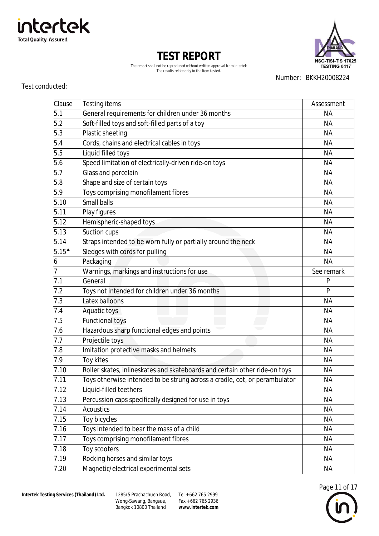

**Total Quality. Assured.** 

intertek

Test conducted:

Number: BKKH20008224

#### **TEST REPORT** The report shall not be reproduced without written approval from Intertek The results relate only to the item tested.

| Clause            | Testing items                                                              | Assessment |
|-------------------|----------------------------------------------------------------------------|------------|
| 5.1               | General requirements for children under 36 months                          | <b>NA</b>  |
| $5.2$             | Soft-filled toys and soft-filled parts of a toy                            | <b>NA</b>  |
| 5.3               | Plastic sheeting                                                           | <b>NA</b>  |
| 5.4               | Cords, chains and electrical cables in toys                                | <b>NA</b>  |
| 5.5               | Liquid filled toys                                                         | <b>NA</b>  |
| 5.6               | Speed limitation of electrically-driven ride-on toys                       | <b>NA</b>  |
| 5.7               | Glass and porcelain                                                        | <b>NA</b>  |
| 5.8               | Shape and size of certain toys                                             | <b>NA</b>  |
| 5.9               | Toys comprising monofilament fibres                                        | <b>NA</b>  |
| 5.10              | Small balls                                                                | <b>NA</b>  |
| 5.11              | Play figures                                                               | <b>NA</b>  |
| 5.12              | Hemispheric-shaped toys                                                    | <b>NA</b>  |
| 5.13              | Suction cups                                                               | <b>NA</b>  |
| 5.14              | Straps intended to be worn fully or partially around the neck              | <b>NA</b>  |
| $5.15^{\text{-}}$ | Sledges with cords for pulling                                             | NА         |
| $\boldsymbol{6}$  | Packaging                                                                  | <b>NA</b>  |
| $\overline{7}$    | Warnings, markings and instructions for use                                | See remark |
| 7.1               | General                                                                    | P          |
| 7.2               | Toys not intended for children under 36 months                             | P          |
| 7.3               | Latex balloons                                                             | <b>NA</b>  |
| 7.4               | Aquatic toys                                                               | <b>NA</b>  |
| 7.5               | <b>Functional toys</b>                                                     | <b>NA</b>  |
| 7.6               | Hazardous sharp functional edges and points                                | <b>NA</b>  |
| 7.7               | Projectile toys                                                            | <b>NA</b>  |
| 7.8               | Imitation protective masks and helmets                                     | <b>NA</b>  |
| 7.9               | Toy kites                                                                  | <b>NA</b>  |
| 7.10              | Roller skates, inlineskates and skateboards and certain other ride-on toys | <b>NA</b>  |
| 7.11              | Toys otherwise intended to be strung across a cradle, cot, or perambulator | <b>NA</b>  |
| 7.12              | Liquid-filled teethers                                                     | <b>NA</b>  |
| 7.13              | Percussion caps specifically designed for use in toys                      | <b>NA</b>  |
| 7.14              | <b>Acoustics</b>                                                           | <b>NA</b>  |
| 7.15              | Toy bicycles                                                               | <b>NA</b>  |
| 7.16              | Toys intended to bear the mass of a child                                  | <b>NA</b>  |
| 7.17              | Toys comprising monofilament fibres                                        | <b>NA</b>  |
| 7.18              | Toy scooters                                                               | <b>NA</b>  |
| 7.19              | Rocking horses and similar toys                                            | <b>NA</b>  |
| 7.20              | Magnetic/electrical experimental sets                                      | <b>NA</b>  |

**Intertek Testing Services (Thailand) Ltd.** 

Wong-Sawang, Bangsue, Bangkok 10800 Thailand 1285/5 Prachachuen Road, Tel + 662 765 2999



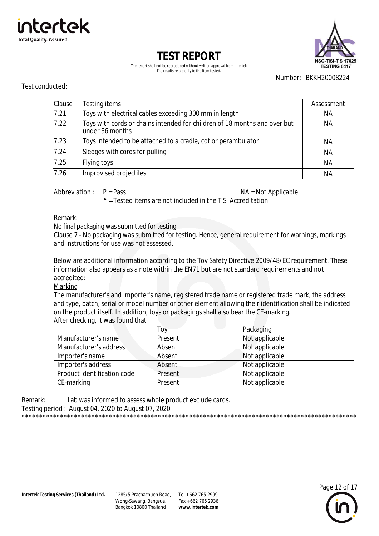



The report shall not be reproduced without written approval from Intertek The results relate only to the item tested.

Number: BKKH20008224

#### Test conducted:

| Clause | Testing items                                                                                 | Assessment |
|--------|-----------------------------------------------------------------------------------------------|------------|
| 7.21   | Toys with electrical cables exceeding 300 mm in length                                        | NА         |
| 7.22   | Toys with cords or chains intended for children of 18 months and over but<br>lunder 36 months | NА         |
| 7.23   | Toys intended to be attached to a cradle, cot or perambulator                                 | NА         |
| 7.24   | Sledges with cords for pulling                                                                | NА         |
| 7.25   | Flying toys                                                                                   | <b>NA</b>  |
| 7.26   | Improvised projectiles                                                                        | NА         |

Abbreviation :  $P = Pass$   $NA = Not Applied$ 

 $\triangle$  = Tested items are not included in the TISI Accreditation

Remark:

No final packaging was submitted for testing.

Clause 7 - No packaging was submitted for testing. Hence, general requirement for warnings, markings and instructions for use was not assessed.

Below are additional information according to the Toy Safety Directive 2009/48/EC requirement. These information also appears as a note within the EN71 but are not standard requirements and not accredited:

Marking

The manufacturer's and importer's name, registered trade name or registered trade mark, the address and type, batch, serial or model number or other element allowing their identification shall be indicated on the product itself. In addition, toys or packagings shall also bear the CE-marking. After checking, it was found that

|                             | Toy     | Packaging      |
|-----------------------------|---------|----------------|
| Manufacturer's name         | Present | Not applicable |
| Manufacturer's address      | Absent  | Not applicable |
| Importer's name             | Absent  | Not applicable |
| Importer's address          | Absent  | Not applicable |
| Product identification code | Present | Not applicable |
| CE-marking                  | Present | Not applicable |

Remark: Lab was informed to assess whole product exclude cards. Testing period : August 04, 2020 to August 07, 2020 \*\*\*\*\*\*\*\*\*\*\*\*\*\*\*\*\*\*\*\*\*\*\*\*\*\*\*\*\*\*\*\*\*\*\*\*\*\*\*\*\*\*\*\*\*\*\*\*\*\*\*\*\*\*\*\*\*\*\*\*\*\*\*\*\*\*\*\*\*\*\*\*\*\*\*\*\*\*\*\*\*\*\*\*\*\*\*\*\*\*\*\*\*\*\*\*

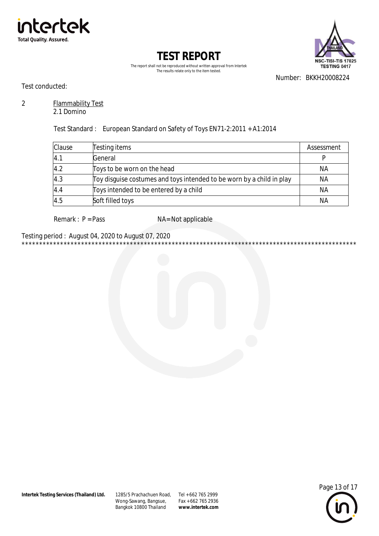



The report shall not be reproduced without written approval from Intertek The results relate only to the item tested.

Number: BKKH20008224

Test conducted:

#### $\overline{2}$ **Flammability Test**

2.1 Domino

Test Standard: European Standard on Safety of Toys EN71-2:2011 + A1:2014

| Clause | Testing items                                                         | Assessment |
|--------|-----------------------------------------------------------------------|------------|
| 4.1    | General                                                               |            |
| 4.2    | Toys to be worn on the head                                           | ΝA         |
| 4.3    | Toy disquise costumes and toys intended to be worn by a child in play | NA         |
| 4.4    | Toys intended to be entered by a child                                | <b>NA</b>  |
| 4.5    | Soft filled toys                                                      | <b>NA</b>  |

Remark :  $P = Pass$ 

NA= Not applicable

Testing period: August 04, 2020 to August 07, 2020 



1285/5 Prachachuen Road, Tel + 662 765 2999 Wong-Sawang, Bangsue, Bangkok 10800 Thailand

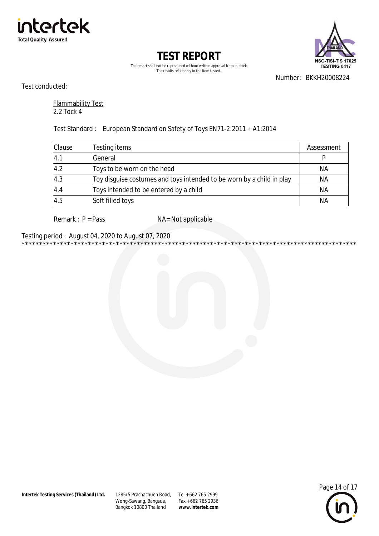



The report shall not be reproduced without written approval from Intertek The results relate only to the item tested.

Number: BKKH20008224

Test conducted:

**Flammability Test** 2.2 Tock 4

Test Standard: European Standard on Safety of Toys EN71-2:2011 + A1:2014

| Clause | Testing items                                                         | Assessment |
|--------|-----------------------------------------------------------------------|------------|
| 4.1    | General                                                               |            |
| 4.2    | Toys to be worn on the head                                           | ΝA         |
| 4.3    | Toy disguise costumes and toys intended to be worn by a child in play | ΝA         |
| 4.4    | Toys intended to be entered by a child                                | <b>NA</b>  |
| 4.5    | Soft filled toys                                                      | <b>NA</b>  |

Remark :  $P = Pass$ 

NA= Not applicable

Testing period: August 04, 2020 to August 07, 2020 



1285/5 Prachachuen Road, Tel + 662 765 2999 Wong-Sawang, Bangsue, Bangkok 10800 Thailand

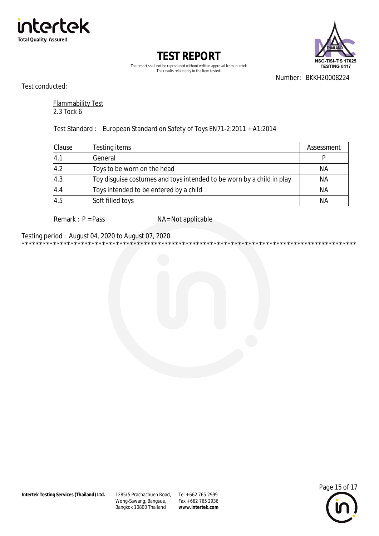



The report shall not be reproduced without written approval from Intertek The results relate only to the item tested.

Number: BKKH20008224

Test conducted:

**Flammability Test** 2.3 Tock 6

Test Standard: European Standard on Safety of Toys EN71-2:2011 + A1:2014

| Clause | Testing items                                                         | Assessment |
|--------|-----------------------------------------------------------------------|------------|
| 4.1    | General                                                               |            |
| 4.2    | Toys to be worn on the head                                           | NA         |
| 4.3    | Toy disquise costumes and toys intended to be worn by a child in play | ΝA         |
| 4.4    | Toys intended to be entered by a child                                | <b>NA</b>  |
| 4.5    | Soft filled toys                                                      | <b>NA</b>  |

Remark :  $P = Pass$ 

NA= Not applicable

Testing period: August 04, 2020 to August 07, 2020 



1285/5 Prachachuen Road, Tel + 662 765 2999 Wong-Sawang, Bangsue, Bangkok 10800 Thailand

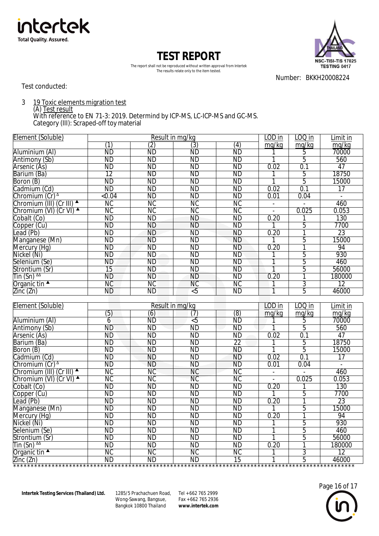



The report shall not be reproduced without written approval from Intertek The results relate only to the item tested.

Number: BKKH20008224

Test conducted:

3 19 Toxic elements migration test

(A) Test result

With reference to EN 71-3: 2019. Determind by ICP-MS, LC-ICP-MS and GC-MS. Category (III): Scraped-off toy material

| Element (Soluble)                                                                | Result in mg/kg |                        |                 | LOD in          | LOQ in                    | Limit in       |                 |
|----------------------------------------------------------------------------------|-----------------|------------------------|-----------------|-----------------|---------------------------|----------------|-----------------|
|                                                                                  | (1)             | (2)                    | (3)             | (4)             | mg/kg                     | mg/kg          | mg/kg           |
| Aluminium (Al)                                                                   | <b>ND</b>       | ND                     | <b>ND</b>       | <b>ND</b>       |                           | 5              | 70000           |
| Antimony (Sb)                                                                    | $\overline{ND}$ | ND                     | ND              | <b>ND</b>       |                           | $\overline{5}$ | 560             |
| Arsenic (As)                                                                     | <b>ND</b>       | <b>ND</b>              | <b>ND</b>       | ND              | 0.02                      | 0.1            | 47              |
| Barium (Ba)                                                                      | $\overline{12}$ | <b>ND</b>              | ND              | <b>ND</b>       |                           | $\overline{5}$ | 18750           |
| Boron (B)                                                                        | ND              | ND                     | ND              | <b>ND</b>       |                           | $\overline{5}$ | 15000           |
| Cadmium (Cd)                                                                     | <b>ND</b>       | <b>ND</b>              | <b>ND</b>       | <b>ND</b>       | 0.02                      | 0.1            | 17              |
| Chromium $(Cr)^{\Delta}$                                                         | < 0.04          | <b>ND</b>              | ND              | <b>ND</b>       | 0.01                      | 0.04           | $\mathbb{Z}^2$  |
| Chromium (III) (Cr III) ▲                                                        | <b>NC</b>       | <b>NC</b>              | <b>NC</b>       | <b>NC</b>       | $\mathbb{L}^{\mathbb{N}}$ | $\overline{a}$ | 460             |
| Chromium (VI) (Cr VI) ▲                                                          | ΝC              | <b>NC</b>              | <b>NC</b>       | NС              | $\mathbf{r}$              | 0.025          | 0.053           |
| Cobalt (Co)                                                                      | <b>ND</b>       | <b>ND</b>              | <b>ND</b>       | <b>ND</b>       | 0.20                      |                | 130             |
| Copper (Cu)                                                                      | <b>ND</b>       | <b>ND</b>              | ND              | <b>ND</b>       | 1                         | 5              | 7700            |
| Lead (Pb)                                                                        | <b>ND</b>       | <b>ND</b>              | ND              | <b>ND</b>       | 0.20                      | 1              | 23              |
| Manganese (Mn)                                                                   | <b>ND</b>       | <b>ND</b>              | <b>ND</b>       | <b>ND</b>       |                           | 5              | 15000           |
| Mercury (Hg)                                                                     | <b>ND</b>       | <b>ND</b>              | <b>ND</b>       | <b>ND</b>       | 0.20                      | 1              | 94              |
| Nickel (Ni)                                                                      | <b>ND</b>       | <b>ND</b>              | <b>ND</b>       | <b>ND</b>       |                           | 5              | 930             |
| Selenium (Se)                                                                    | <b>ND</b>       | <b>ND</b>              | <b>ND</b>       | <b>ND</b>       | 1                         | 5              | 460             |
| Strontium (Sr)                                                                   | 15              | <b>ND</b>              | <b>ND</b>       | <b>ND</b>       |                           | 5              | 56000           |
| $\overline{\text{I}}$ in (Sn) $^{44}$                                            | <b>ND</b>       | <b>ND</b>              | <b>ND</b>       | <b>ND</b>       | 0.20                      | 1              | 180000          |
| Organic tin $\blacktriangle$                                                     | <b>NC</b>       | ИC                     | <b>NC</b>       | <b>NC</b>       |                           | 3              | $\overline{12}$ |
| $\overline{\text{Zinc}}$ ( $\overline{\text{Zn}}$ )                              | <b>ND</b>       | <b>ND</b>              | $\overline{5}$  | <b>ND</b>       | 1                         | 5              | 46000           |
|                                                                                  |                 |                        |                 |                 |                           |                |                 |
|                                                                                  |                 |                        |                 |                 |                           |                |                 |
| Element (Soluble)                                                                |                 |                        | Result in mg/kg |                 | LOD in                    | $LOQ$ in       | Limit in        |
|                                                                                  | (5)             | (6)                    | (7)             | (8)             | mg/kg                     | mg/kg          | mg/kg           |
| Aluminium (Al)                                                                   | 6               | ÑĎ                     | $\overline{5}$  | ÑĎ              |                           | 5              | 70000           |
| Antimony (Sb)                                                                    | <b>ND</b>       | ND                     | <b>ND</b>       | <b>ND</b>       |                           | 5              | 560             |
| Arsenic (As)                                                                     | <b>ND</b>       | <b>ND</b>              | <b>ND</b>       | <b>ND</b>       | 0.02                      | 0.1            | 47              |
| Barium (Ba)                                                                      | <b>ND</b>       | <b>ND</b>              | <b>ND</b>       | $\overline{22}$ |                           | 5              | 18750           |
| Boron (B)                                                                        | ND              | ND                     | ND              | <b>ND</b>       |                           | $\overline{5}$ | 15000           |
| Cadmium (Cd)                                                                     | $\overline{ND}$ | <b>ND</b>              | ND              | <b>ND</b>       | 0.02                      | 0.1            | $\overline{17}$ |
| Chromium $(Cr)^{\Delta}$                                                         | <b>ND</b>       | <b>ND</b>              | <b>ND</b>       | <b>ND</b>       | 0.01                      | 0.04           | $\overline{a}$  |
| Chromium (III) (Cr III) ▲                                                        | NС              | <b>NC</b>              | NС              | NС              | $\blacksquare$            |                | 460             |
| Chromium (VI) (Cr VI) ▲                                                          | МC              | $\overline{\text{NC}}$ | <b>NC</b>       | <b>NC</b>       | $\sim$                    | 0.025          | 0.053           |
| Cobalt (Co)                                                                      | <b>ND</b>       | <b>ND</b>              | <b>ND</b>       | <b>ND</b>       | 0.20                      |                | 130             |
| Copper (Cu)                                                                      | ND              | <b>ND</b>              | ND              | <b>ND</b>       | 1                         | 5              | 7700            |
| Lead (Pb)                                                                        | <b>ND</b>       | <b>ND</b>              | <b>ND</b>       | <b>ND</b>       | 0.20                      | 1              | 23              |
| Manganese (Mn)                                                                   | <b>ND</b>       | <b>ND</b>              | <b>ND</b>       | ND              |                           | 5              | 15000           |
| Mercury (Hg)                                                                     | <b>ND</b>       | <b>ND</b>              | <b>ND</b>       | <b>ND</b>       | 0.20                      | 1              | 94              |
| Nickel (Ni)                                                                      | <b>ND</b>       | <b>ND</b>              | <b>ND</b>       | <b>ND</b>       |                           | 5              | 930             |
| Selenium (Se)                                                                    | <b>ND</b>       | <b>ND</b>              | <b>ND</b>       | <b>ND</b>       |                           | 5              | 460             |
| Strontium (Sr)                                                                   | <b>ND</b>       | <b>ND</b>              | ND              | <b>ND</b>       | 1                         | 5              | 56000           |
|                                                                                  | <b>ND</b>       | <b>ND</b>              | <b>ND</b>       | <b>ND</b>       | 0.20                      | 1              | 180000          |
| Tin (Sn) <sup>ΔΔ</sup><br>Organic tin $\blacktriangle$                           | NС              | ΝC                     | NС              | <b>NC</b>       |                           | 3              | $\overline{12}$ |
| $\frac{\text{Zinc}(\text{Zn})}{\text{Zinc}(\text{Zn})}$ ND ND ND ND 15 1 5 46000 |                 |                        |                 |                 |                           |                |                 |

Wong-Sawang, Bangsue, Bangkok 10800 Thailand 1285/5 Prachachuen Road, Tel + 662 765 2999

 $Fax + 6627652936$ **[www.intertek.com](http://www.intertek.com)**

\*\*\*\*\*\*\*\*\*\*\*\*\*\*\*\*\*\*\*\*\*\*\*\*\*\*\*\*\*\*\*\*\*\*\*\*\*\*\*\*\*\*\*\*\*\*\*\*\*\*\*\*\*\*\*\*\*\*\*\*\*\*\*\*\*\*\*\*\*\*\*\*\*\*\*\*\*\*\*\*\*\*\*\*\*\*\*\*\*\*\*\*\*\*\*\*\*\*